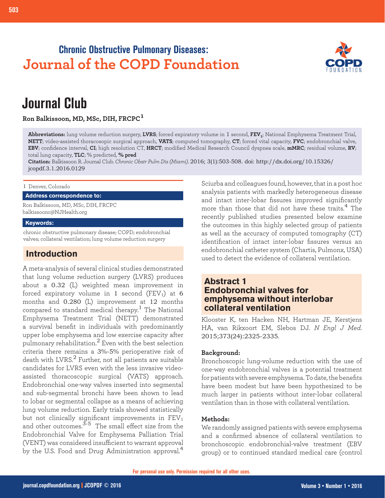# **Chronic Obstructive Pulmonary Diseases: Journal of the COPD Foundation**



# **Journal Club**

**Ron Balkissoon, MD, MSc, DIH, FRCPC<sup>1</sup>**

**Abbreviations:** lung volume reduction surgery, **LVRS**; forced expiratory volume in 1 second, **FEV1**; National Emphysema Treatment Trial, **NETT**; video-assisted thoracosopic surgical approach, **VATS**; computed tomography, **CT**; forced vital capacity, **FVC**; endobronchial valve, **EBV**; confidence interval, **CI**; high resolution CT, **HRCT**; modified Medical Research Council dyspnea scale, **mMRC**; residual volume, **RV**; total lung capacity, **TLC**; % predicted, **% pred**

**Citation:** Balkissoon R. Journal Club. *Chronic Obstr Pulm Dis (Miami)*. 2016; 3(1):503-508. doi: http://dx.doi.org/10.15326/ jcopdf.3.1.2016.0129

1 Denver, Colorado

## **Address correspondence to:**

Ron Balkissoon, MD, MSc, DIH, FRCPC balkissoonr@NJHealth.org

## **Keywords:**

chronic obstructive pulmonary disease; COPD; endobronchial valves; collateral ventilation; lung volume reduction surgery

# **Introduction**

A meta-analysis of several clinical studies demonstrated that lung volume reduction surgery (LVRS) produces about a 0.32 (L) weighted mean improvement in forced expiratory volume in  $1$  second (FEV1) at  $6$ months and 0.280 (L) improvement at 12 months compared to standard medical therapy.<sup>1</sup> The National Emphysema Treatment Trial (NETT) demonstrated a survival benefit in individuals with predominantly upper lobe emphysema and low exercise capacity after pulmonary rehabilitation.2 Even with the best selection criteria there remains a 3%-5% perioperative risk of death with LVRS. $^2$  Further, not all patients are suitable candidates for LVRS even with the less invasive videoassisted thoracoscopic surgical (VATS) approach. Endobronchial one-way valves inserted into segmental and sub-segmental bronchi have been shown to lead to lobar or segmental collapse as a means of achieving lung volume reduction. Early trials showed statistically but not clinically significant improvements in  $\rm FEV_1$ and other outcomes.<sup>3-5</sup> The small effect size from the Endobronchial Valve for Emphysema Palliation Trial (VENT) was considered insufficient to warrant approval by the U.S. Food and Drug Administration approval.<sup>4</sup>

Sciurba and colleagues found, however, that in a post hoc analysis patients with markedly heterogeneous disease and intact inter-lobar fissures improved significantly more than those that did not have these traits.<sup>4</sup> The recently published studies presented below examine the outcomes in this highly selected group of patients as well as the accuracy of computed tomography (CT) identification of intact inter-lobar fissures versus an endobronchial catheter system (Chartis, Pulmonx, USA) used to detect the evidence of collateral ventilation.

# **Abstract 1 Endobronchial valves for emphysema without interlobar collateral ventilation**

Klooster K, ten Hacken NH, Hartman JE, Kerstjens HA, van Rikxoort EM, Slebos DJ. *N Engl J Med*. 2015;373(24):2325-2335.

# **Background:**

Bronchoscopic lung-volume reduction with the use of one-way endobronchial valves is a potential treatment for patients with severe emphysema. To date, the benefits have been modest but have been hypothesized to be much larger in patients without inter-lobar collateral ventilation than in those with collateral ventilation.

# **Methods:**

We randomly assigned patients with severe emphysema and a confirmed absence of collateral ventilation to bronchoscopic endobronchial-valve treatment (EBV group) or to continued standard medical care (control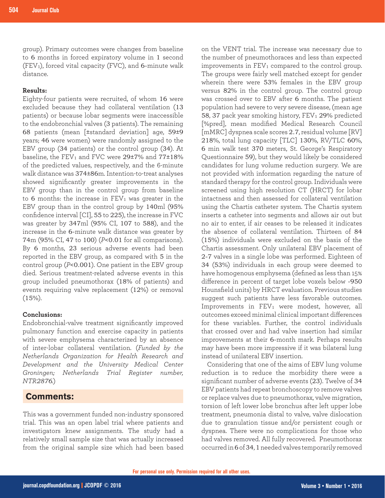group). Primary outcomes were changes from baseline to 6 months in forced expiratory volume in 1 second (FEV<sub>1</sub>), forced vital capacity (FVC), and 6-minute walk distance.

# **Results:**

Eighty-four patients were recruited, of whom 16 were excluded because they had collateral ventilation (13 patients) or because lobar segments were inaccessible to the endobronchial valves (3 patients). The remaining 68 patients (mean [±standard deviation] age, 59±9 years; 46 were women) were randomly assigned to the EBV group (34 patients) or the control group (34). At baseline, the FEV<sub>1</sub> and FVC were  $29\pm7\%$  and  $77\pm18\%$ of the predicted values, respectively, and the 6-minute walk distance was 374±86m. Intention-to-treat analyses showed significantly greater improvements in the EBV group than in the control group from baseline to  $6$  months: the increase in  $FEV<sub>1</sub>$  was greater in the EBV group than in the control group by 140ml (95% confidence interval [CI], 55 to 225), the increase in FVC was greater by 347ml (95% CI, 107 to 588), and the increase in the 6-minute walk distance was greater by 74m (95% CI, 47 to 100) (*P*<0.01 for all comparisons). By 6 months, 23 serious adverse events had been reported in the EBV group, as compared with 5 in the control group (*P*<0.001). One patient in the EBV group died. Serious treatment-related adverse events in this group included pneumothorax (18% of patients) and events requiring valve replacement (12%) or removal  $(15\%)$ .

#### **Conclusions:**

Endobronchial-valve treatment significantly improved pulmonary function and exercise capacity in patients with severe emphysema characterized by an absence of inter-lobar collateral ventilation. (*Funded by the Netherlands Organization for Health Research and Development and the University Medical Center Groningen; Netherlands Trial Register number, NTR2876.*)

# **Comments:**

This was a government funded non-industry sponsored trial. This was an open label trial where patients and investigators knew assignments. The study had a relatively small sample size that was actually increased from the original sample size which had been based

on the VENT trial. The increase was necessary due to the number of pneumothoraces and less than expected improvements in  $FEV<sub>1</sub>$  compared to the control group. The groups were fairly well matched except for gender wherein there were 53% females in the EBV group versus 82% in the control group. The control group was crossed over to EBV after 6 months. The patient population had severe to very severe disease, (mean age 58, 37 pack year smoking history, FEV<sub>1</sub> 29% predicted [%pred], mean modified Medical Research Council [mMRC] dyspnea scale scores 2.7, residual volume [RV] 218%, total lung capacity [TLC] 130%, RV/TLC 60%, 6 min walk test 370 meters, St. George's Respiratory Questionnaire 59), but they would likely be considered candidates for lung volume reduction surgery. We are not provided with information regarding the nature of standard therapy for the control group. Individuals were screened using high resolution CT (HRCT) for lobar intactness and then assessed for collateral ventilation using the Chartis catheter system. The Chartis system inserts a catheter into segments and allows air out but no air to enter, if air ceases to be released it indicates the absence of collateral ventilation. Thirteen of 84 (15%) individuals were excluded on the basis of the Chartis assessment. Only unilateral EBV placement of 2-7 valves in a single lobe was performed. Eighteen of 34 (53%) individuals in each group were deemed to have homogenous emphysema (defined as less than 15% difference in percent of target lobe voxels below -950 Hounsfield units) by HRCT evaluation. Previous studies suggest such patients have less favorable outcomes. Improvements in FEV<sub>1</sub> were modest, however, all outcomes exceed minimal clinical important differences for these variables. Further, the control individuals that crossed over and had valve insertion had similar improvements at their 6-month mark. Perhaps results may have been more impressive if it was bilateral lung instead of unilateral EBV insertion.

Considering that one of the aims of EBV lung volume reduction is to reduce the morbidity there were a significant number of adverse events (23). Twelve of 34 EBV patients had repeat bronchoscopy to remove valves or replace valves due to pneumothorax, valve migration, torsion of left lower lobe bronchus after left upper lobe treatment, pneumonia distal to valve, valve dislocation due to granulation tissue and/or persistent cough or dyspnea. There were no complications for those who had valves removed. All fully recovered. Pneumothorax occurred in 6 of 34, 1 needed valves temporarily removed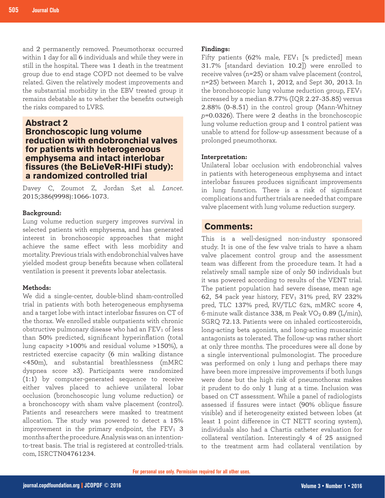and 2 permanently removed. Pneumothorax occurred within 1 day for all 6 individuals and while they were in still in the hospital. There was 1 death in the treatment group due to end stage COPD not deemed to be valve related. Given the relatively modest improvements and the substantial morbidity in the EBV treated group it remains debatable as to whether the benefits outweigh the risks compared to LVRS.

# **Abstract 2**

# **Bronchoscopic lung volume reduction with endobronchial valves for patients with heterogeneous emphysema and intact interlobar fissures (the BeLieVeR-HIFi study): a randomized controlled trial**

Davey C, Zoumot Z, Jordan S,et al. *Lancet*. 2015;386(9998):1066-1073.

#### **Background:**

Lung volume reduction surgery improves survival in selected patients with emphysema, and has generated interest in bronchoscopic approaches that might achieve the same effect with less morbidity and mortality. Previous trials with endobronchial valves have yielded modest group benefits because when collateral ventilation is present it prevents lobar atelectasis.

# **Methods:**

We did a single-center, double-blind sham-controlled trial in patients with both heterogeneous emphysema and a target lobe with intact interlobar fissures on CT of the thorax. We enrolled stable outpatients with chronic obstructive pulmonary disease who had an  $FEV<sub>1</sub>$  of less than 50% predicted, significant hyperinflation (total lung capacity >100% and residual volume >150%), a restricted exercise capacity (6 min walking distance <450m), and substantial breathlessness (mMRC dyspnea score ≥3). Participants were randomized (1:1) by computer-generated sequence to receive either valves placed to achieve unilateral lobar occlusion (bronchoscopic lung volume reduction) or a bronchoscopy with sham valve placement (control). Patients and researchers were masked to treatment allocation. The study was powered to detect a 15% improvement in the primary endpoint, the  $FEV<sub>1</sub>$  3 months after the procedure. Analysis was on an intentionto-treat basis. The trial is registered at controlled-trials. com, ISRCTN04761234.

#### **Findings:**

Fifty patients (62% male,  $FEV_1$  [% predicted] mean 31.7% [standard deviation 10.2]) were enrolled to receive valves (n=25) or sham valve placement (control, n=25) between March 1, 2012, and Sept 30, 2013. In the bronchoscopic lung volume reduction group,  $FEV<sub>1</sub>$ increased by a median 8.77% (IQR 2.27-35.85) versus 2.88% (0-8.51) in the control group (Mann-Whitney *p*=0.0326). There were 2 deaths in the bronchoscopic lung volume reduction group and 1 control patient was unable to attend for follow-up assessment because of a prolonged pneumothorax.

# **Interpretation:**

Unilateral lobar occlusion with endobronchial valves in patients with heterogeneous emphysema and intact interlobar fissures produces significant improvements in lung function. There is a risk of significant complications and further trials are needed that compare valve placement with lung volume reduction surgery.

# **Comments:**

This is a well-designed non-industry sponsored study. It is one of the few valve trials to have a sham valve placement control group and the assessment team was different from the procedure team. It had a relatively small sample size of only 50 individuals but it was powered according to results of the VENT trial. The patient population had severe disease, mean age 62, 54 pack year history,  $FEV<sub>1</sub>$  31% pred, RV 232% pred, TLC 137% pred, RV/TLC 62%, mMRC score 4, 6-minute walk distance 338, m Peak  $VO<sub>2</sub>$  0.89 (L/min), SGRQ 72.13. Patients were on inhaled corticosteroids, long-acting beta agonists, and long-acting muscarinic antagonists as tolerated. The follow-up was rather short at only three months. The procedures were all done by a single interventional pulmonologist. The procedure was performed on only 1 lung and perhaps there may have been more impressive improvements if both lungs were done but the high risk of pneumothorax makes it prudent to do only 1 lung at a time. Inclusion was based on CT assessment. While a panel of radiologists assessed if fissures were intact (90% oblique fissure visible) and if heterogeneity existed between lobes (at least 1 point difference in CT NETT scoring system), individuals also had a Chartis catheter evaluation for collateral ventilation. Interestingly 4 of 25 assigned to the treatment arm had collateral ventilation by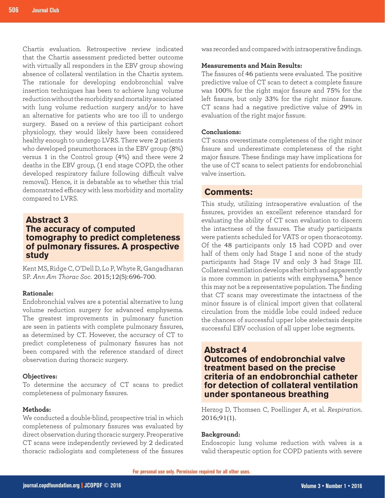Chartis evaluation. Retrospective review indicated that the Chartis assessment predicted better outcome with virtually all responders in the EBV group showing absence of collateral ventilation in the Chartis system. The rationale for developing endobronchial valve insertion techniques has been to achieve lung volume reduction without the morbidity and mortality associated with lung volume reduction surgery and/or to have an alternative for patients who are too ill to undergo surgery. Based on a review of this participant cohort physiology, they would likely have been considered healthy enough to undergo LVRS. There were 2 patients who developed pneumothoraces in the EBV group (8%) versus 1 in the Control group (4%) and there were 2 deaths in the EBV group, (1 end stage COPD, the other developed respiratory failure following difficult valve removal). Hence, it is debatable as to whether this trial demonstrated efficacy with less morbidity and mortality compared to LVRS.

# **Abstract 3 The accuracy of computed tomography to predict completeness of pulmonary fissures. A prospective study**

Kent MS, Ridge C, O'Dell D, Lo P, Whyte R, Gangadharan SP. *Ann Am Thorac Soc*. 2015;12(5):696-700.

#### **Rationale:**

Endobronchial valves are a potential alternative to lung volume reduction surgery for advanced emphysema. The greatest improvements in pulmonary function are seen in patients with complete pulmonary fissures, as determined by CT. However, the accuracy of CT to predict completeness of pulmonary fissures has not been compared with the reference standard of direct observation during thoracic surgery.

#### **Objectives:**

To determine the accuracy of CT scans to predict completeness of pulmonary fissures.

## **Methods:**

We conducted a double-blind, prospective trial in which completeness of pulmonary fissures was evaluated by direct observation during thoracic surgery. Preoperative CT scans were independently reviewed by 2 dedicated thoracic radiologists and completeness of the fissures

was recorded and compared with intraoperative findings.

# **Measurements and Main Results:**

The fissures of 46 patients were evaluated. The positive predictive value of CT scan to detect a complete fissure was 100% for the right major fissure and 75% for the left fissure, but only 33% for the right minor fissure. CT scans had a negative predictive value of 29% in evaluation of the right major fissure.

# **Conclusions:**

CT scans overestimate completeness of the right minor fissure and underestimate completeness of the right major fissure. These findings may have implications for the use of CT scans to select patients for endobronchial valve insertion.

# **Comments:**

This study, utilizing intraoperative evaluation of the fissures, provides an excellent reference standard for evaluating the ability of CT scan evaluation to discern the intactness of the fissures. The study participants were patients scheduled for VATS or open thoracotomy. Of the 48 participants only 15 had COPD and over half of them only had Stage I and none of the study participants had Stage IV and only 3 had Stage III. Collateral ventilation develops after birth and apparently is more common in patients with emphysema,<sup>6</sup> hence this may not be a representative population. The finding that CT scans may overestimate the intactness of the minor fissure is of clinical import given that collateral circulation from the middle lobe could indeed reduce the chances of successful upper lobe atelectasis despite successful EBV occlusion of all upper lobe segments.

# **Abstract 4**

**Outcomes of endobronchial valve treatment based on the precise criteria of an endobronchial catheter for detection of collateral ventilation under spontaneous breathing** 

Herzog D, Thomsen C, Poellinger A, et al. *Respiration*. 2016;91(1).

## **Background:**

Endoscopic lung volume reduction with valves is a valid therapeutic option for COPD patients with severe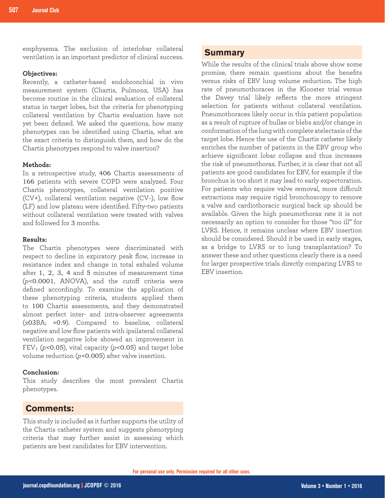**Summary** emphysema. The exclusion of interlobar collateral ventilation is an important predictor of clinical success.

#### **Objectives:**

Recently, a catheter-based endobronchial in vivo measurement system (Chartis, Pulmonx, USA) has become routine in the clinical evaluation of collateral status in target lobes, but the criteria for phenotyping collateral ventilation by Chartis evaluation have not yet been defined. We asked the questions, how many phenotypes can be identified using Chartis, what are the exact criteria to distinguish them, and how do the Chartis phenotypes respond to valve insertion?

# **Methods:**

In a retrospective study, 406 Chartis assessments of 166 patients with severe COPD were analyzed. Four Chartis phenotypes, collateral ventilation positive (CV+), collateral ventilation negative (CV-), low flow (LF) and low plateau were identified. Fifty-two patients without collateral ventilation were treated with valves and followed for 3 months.

# **Results:**

The Chartis phenotypes were discriminated with respect to decline in expiratory peak flow, increase in resistance index and change in total exhaled volume after 1, 2, 3, 4 and 5 minutes of measurement time (*p*<0.0001, ANOVA), and the cutoff criteria were defined accordingly. To examine the application of these phenotyping criteria, students applied them to 100 Chartis assessments, and they demonstrated almost perfect inter- and intra-observer agreements (x03BA; >0.9). Compared to baseline, collateral negative and low flow patients with ipsilateral collateral ventilation negative lobe showed an improvement in FEV1 (*p*<0.05), vital capacity (*p*<0.05) and target lobe volume reduction (*p*<0.005) after valve insertion.

# **Conclusion:**

This study describes the most prevalent Chartis phenotypes.

# **Comments:**

This study is included as it further supports the utility of the Chartis catheter system and suggests phenotyping criteria that may further assist in assessing which patients are best candidates for EBV intervention.

While the results of the clinical trials above show some promise, there remain questions about the benefits versus risks of EBV lung volume reduction. The high rate of pneumothoraces in the Klooster trial versus the Davey trial likely reflects the more stringent selection for patients without collateral ventilation. Pneumothoraces likely occur in this patient population as a result of rupture of bullae or blebs and/or change in conformation of the lung with complete atelectasis of the target lobe. Hence the use of the Chartis catheter likely enriches the number of patients in the EBV group who achieve significant lobar collapse and thus increases the risk of pneumothorax. Further, it is clear that not all patients are good candidates for EBV, for example if the bronchus is too short it may lead to early expectoration. For patients who require valve removal, more difficult extractions may require rigid bronchoscopy to remove a valve and cardiothoracic surgical back up should be available. Given the high pneumothorax rate it is not necessarily an option to consider for those "too ill" for LVRS. Hence, it remains unclear where EBV insertion should be considered. Should it be used in early stages, as a bridge to LVRS or to lung transplantation? To answer these and other questions clearly there is a need for larger prospective trials directly comparing LVRS to EBV insertion.